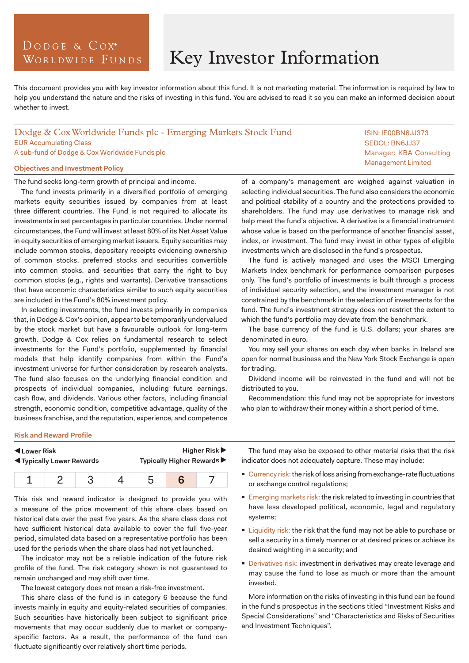# DODGE & COX<sup>°</sup> WORLDWIDE FUNDS

# Key Investor Information

This document provides you with key investor information about this fund. It is not marketing material. The information is required by law to help you understand the nature and the risks of investing in this fund. You are advised to read it so you can make an informed decision about whether to invest.

## Dodge & Cox Worldwide Funds plc - Emerging Markets Stock Fund EUR Accumulating Class A sub-fund of Dodge & Cox Worldwide Funds plc

### **Objectives and Investment Policy**

The fund seeks long-term growth of principal and income.

The fund invests primarily in a diversified portfolio of emerging markets equity securities issued by companies from at least three different countries. The Fund is not required to allocate its investments in set percentages in particular countries. Under normal circumstances, the Fund will invest at least 80% of its Net Asset Value in equity securities of emerging market issuers. Equity securities may include common stocks, depositary receipts evidencing ownership of common stocks, preferred stocks and securities convertible into common stocks, and securities that carry the right to buy common stocks (e.g., rights and warrants). Derivative transactions that have economic characteristics similar to such equity securities are included in the Fund's 80% investment policy.

In selecting investments, the fund invests primarily in companies that, in Dodge & Cox's opinion, appear to be temporarily undervalued by the stock market but have a favourable outlook for long-term growth. Dodge & Cox relies on fundamental research to select investments for the Fund's portfolio, supplemented by financial models that help identify companies from within the Fund's investment universe for further consideration by research analysts. The fund also focuses on the underlying financial condition and prospects of individual companies, including future earnings, cash flow, and dividends. Various other factors, including financial strength, economic condition, competitive advantage, quality of the business franchise, and the reputation, experience, and competence

of a company's management are weighed against valuation in selecting individual securities. The fund also considers the economic and political stability of a country and the protections provided to shareholders. The fund may use derivatives to manage risk and help meet the fund's objective. A derivative is a financial instrument whose value is based on the performance of another financial asset, index, or investment. The fund may invest in other types of eligible investments which are disclosed in the fund's prospectus.

The fund is actively managed and uses the MSCI Emerging Markets Index benchmark for performance comparison purposes only. The fund's portfolio of investments is built through a process of individual security selection, and the investment manager is not constrained by the benchmark in the selection of investments for the fund. The fund's investment strategy does not restrict the extent to which the fund's portfolio may deviate from the benchmark.

The base currency of the fund is U.S. dollars; your shares are denominated in euro.

You may sell your shares on each day when banks in Ireland are open for normal business and the New York Stock Exchange is open for trading.

Dividend income will be reinvested in the fund and will not be distributed to you.

Recommendation: this fund may not be appropriate for investors who plan to withdraw their money within a short period of time.

#### **Risk and Reward Profile**

| Lower Risk                         |  |  |  | <b>Higher Risk ▶</b>       |  |  |
|------------------------------------|--|--|--|----------------------------|--|--|
| <b>IVI</b> Typically Lower Rewards |  |  |  | Typically Higher Rewards ▶ |  |  |
|                                    |  |  |  |                            |  |  |

This risk and reward indicator is designed to provide you with a measure of the price movement of this share class based on historical data over the past five years. As the share class does not have sufficient historical data available to cover the full five-year period, simulated data based on a representative portfolio has been used for the periods when the share class had not yet launched.

The indicator may not be a reliable indication of the future risk profile of the fund. The risk category shown is not guaranteed to remain unchanged and may shift over time.

The lowest category does not mean a risk-free investment.

This share class of the fund is in category 6 because the fund invests mainly in equity and equity-related securities of companies. Such securities have historically been subject to significant price movements that may occur suddenly due to market or companyspecific factors. As a result, the performance of the fund can fluctuate significantly over relatively short time periods.

The fund may also be exposed to other material risks that the risk indicator does not adequately capture. These may include:

- Currency risk: the risk of loss arising from exchange-rate fluctuations or exchange control regulations;
- **Emerging markets risk: the risk related to investing in countries that** have less developed political, economic, legal and regulatory systems;
- **Liquidity risk: the risk that the fund may not be able to purchase or** sell a security in a timely manner or at desired prices or achieve its desired weighting in a security; and
- Derivatives risk: investment in derivatives may create leverage and may cause the fund to lose as much or more than the amount invested.

More information on the risks of investing in this fund can be found in the fund's prospectus in the sections titled "Investment Risks and Special Considerations" and "Characteristics and Risks of Securities and Investment Techniques".

ISIN: IE00BN6JJ373 SEDOL: BN6JJ37 Manager: KBA Consulting Management Limited